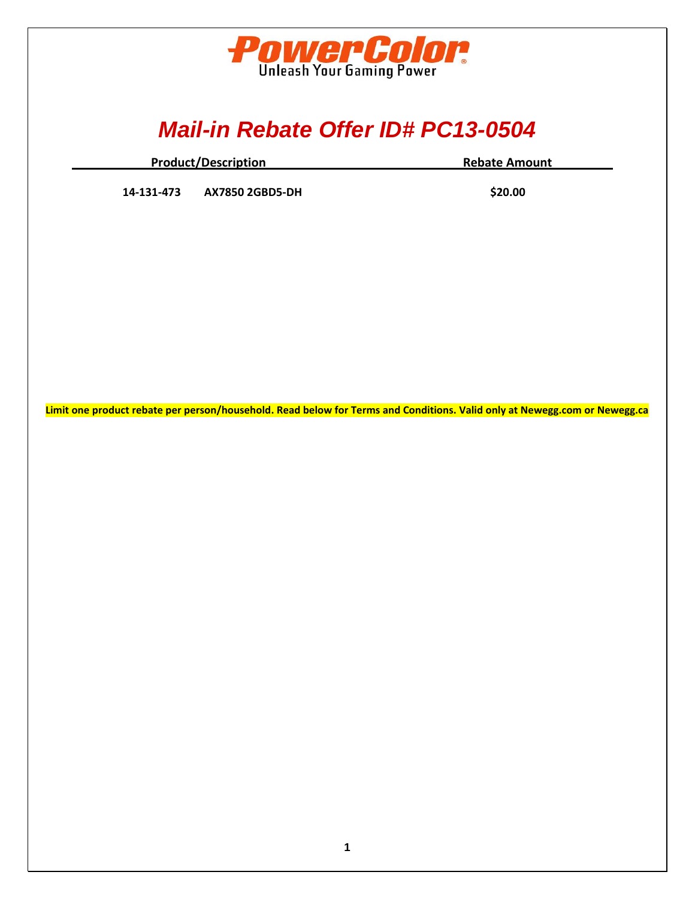

## *Mail-in Rebate Offer ID# PC13-0504*

| <b>Product/Description</b> | <b>Rebate Amount</b> |
|----------------------------|----------------------|
|                            |                      |

**14-131-473 AX7850 2GBD5-DH \$20.00**

**Limit one product rebate per person/household. Read below for Terms and Conditions. Valid only at Newegg.com or Newegg.ca**